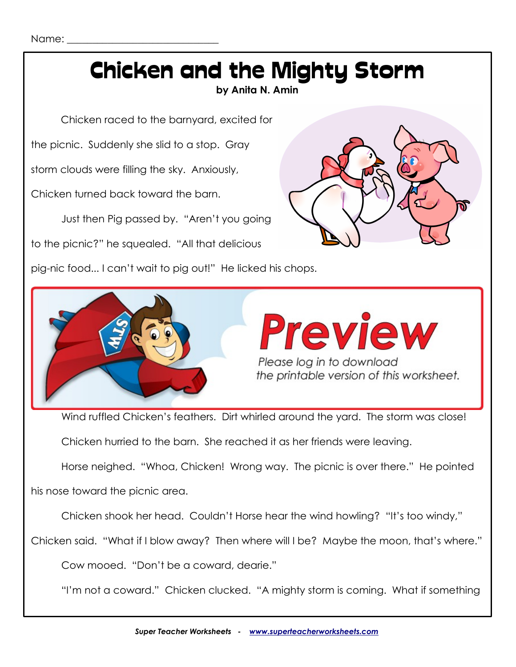## Chicken and the Mighty Storm

**by Anita N. Amin**

Chicken raced to the barnyard, excited for

the picnic. Suddenly she slid to a stop. Gray

storm clouds were filling the sky. Anxiously,

Chicken turned back toward the barn.

Just then Pig passed by. "Aren't you going

to the picnic?" he squealed. "All that delicious

pig-nic food... I can't wait to pig out!" He licked his chops.





Wind ruffled Chicken's feathers. Dirt whirled around the yard. The storm was close!

Chicken hurried to the barn. She reached it as her friends were leaving.

Horse neighed. "Whoa, Chicken! Wrong way. The picnic is over there." He pointed

his nose toward the picnic area.

Chicken shook her head. Couldn't Horse hear the wind howling? "It's too windy,"

Chicken said. "What if I blow away? Then where will I be? Maybe the moon, that's where."

Cow mooed. "Don't be a coward, dearie."

"I'm not a coward." Chicken clucked. "A mighty storm is coming. What if something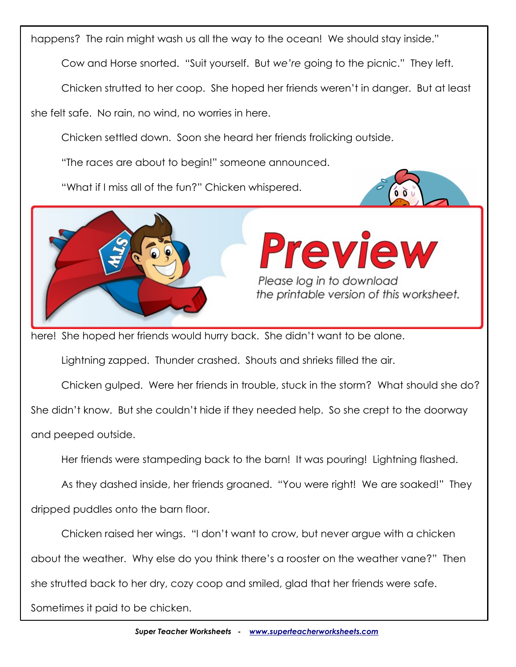happens? The rain might wash us all the way to the ocean! We should stay inside."

Cow and Horse snorted. "Suit yourself. But *we're* going to the picnic." They left.

Chicken strutted to her coop. She hoped her friends weren't in danger. But at least

she felt safe. No rain, no wind, no worries in here.

Chicken settled down. Soon she heard her friends frolicking outside.

"The races are about to begin!" someone announced.

"What if I miss all of the fun?" Chicken whispered.





# **Preview** Please log in to download<br>The printable version of this worksheet.

here! She hoped her friends would hurry back. She didn't want to be alone.

Lightning zapped. Thunder crashed. Shouts and shrieks filled the air.

Chicken gulped. Were her friends in trouble, stuck in the storm? What should she do?

She didn't know. But she couldn't hide if they needed help. So she crept to the doorway

and peeped outside.

Her friends were stampeding back to the barn! It was pouring! Lightning flashed.

As they dashed inside, her friends groaned. "You were right! We are soaked!" They dripped puddles onto the barn floor.

Chicken raised her wings. "I don't want to crow, but never argue with a chicken about the weather. Why else do you think there's a rooster on the weather vane?" Then she strutted back to her dry, cozy coop and smiled, glad that her friends were safe. Sometimes it paid to be chicken.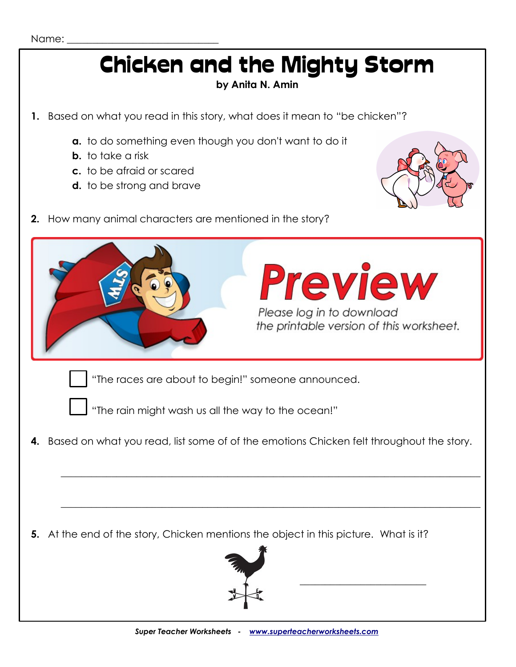### Chicken and the Mighty Storm

#### **by Anita N. Amin**

**1.** Based on what you read in this story, what does it mean to "be chicken"?

- **a.** to do something even though you don't want to do it
- **b.** to take a risk
- **c.** to be afraid or scared
- **d.** to be strong and brave



**2.** How many animal characters are mentioned in the story?

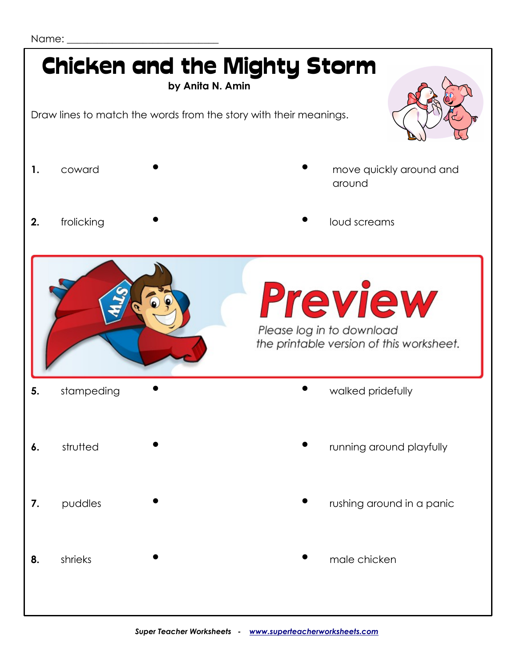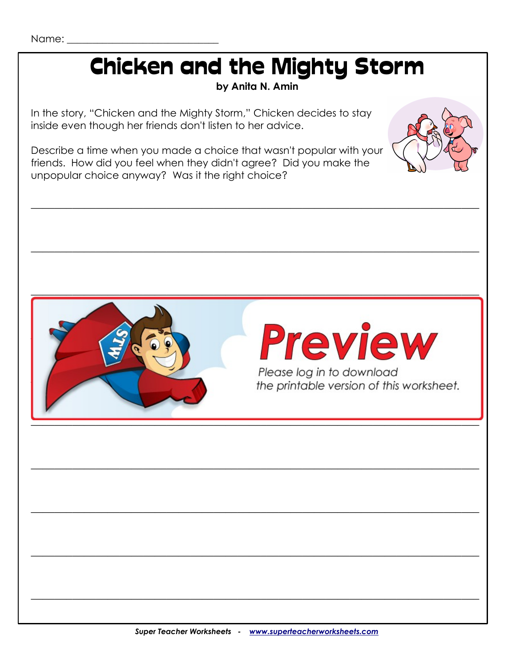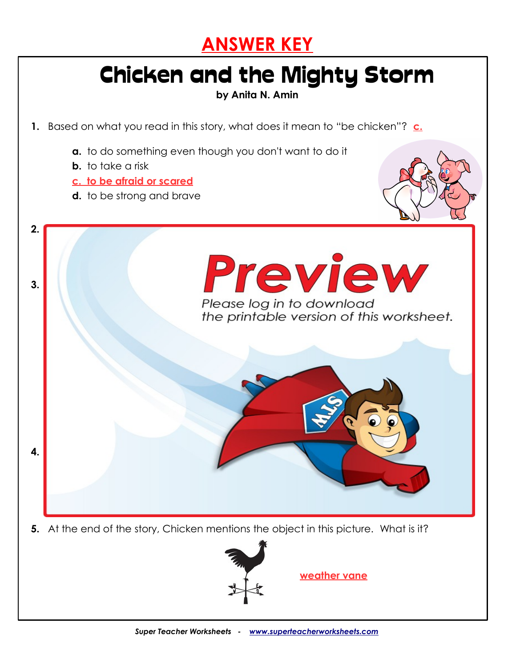

### Chicken and the Mighty Storm

**by Anita N. Amin**

**1.** Based on what you read in this story, what does it mean to "be chicken"? **c.**

- **a.** to do something even though you don't want to do it
- **b.** to take a risk
- **c. to be afraid or scared**
- **d.** to be strong and brave